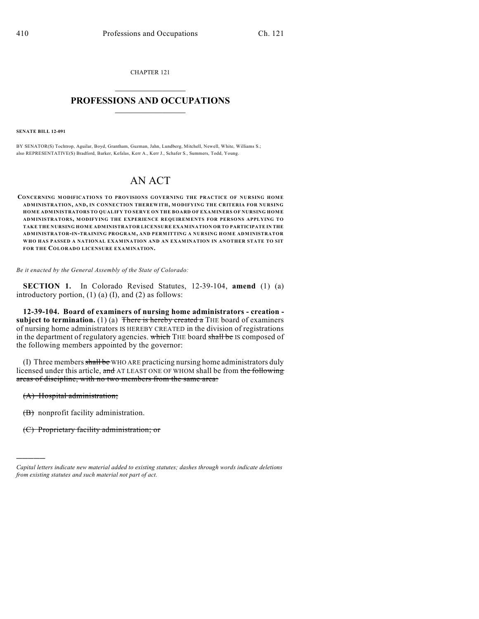CHAPTER 121

## $\mathcal{L}_\text{max}$  . The set of the set of the set of the set of the set of the set of the set of the set of the set of the set of the set of the set of the set of the set of the set of the set of the set of the set of the set **PROFESSIONS AND OCCUPATIONS**  $\frac{1}{2}$  ,  $\frac{1}{2}$  ,  $\frac{1}{2}$  ,  $\frac{1}{2}$  ,  $\frac{1}{2}$  ,  $\frac{1}{2}$

**SENATE BILL 12-091**

BY SENATOR(S) Tochtrop, Aguilar, Boyd, Grantham, Guzman, Jahn, Lundberg, Mitchell, Newell, White, Williams S.; also REPRESENTATIVE(S) Bradford, Barker, Kefalas, Kerr A., Kerr J., Schafer S., Summers, Todd, Young.

## AN ACT

**CONCERNING MODIFICATIONS TO PROVISIONS GOVERNING THE PRACTICE OF NURSING HOME ADMINISTRATION, AND, IN CONNECTION THEREWITH, M ODIFYING THE CRITERIA FOR NURSING HOME ADMINISTRATORS TO QUALIFY TO SERVE ON THE BOARD OF EXAMINERS OF NURSING HOME ADMINISTRATORS, MODIFYING THE EXPERIENCE REQUIREMENTS FOR PERSONS APPLYING TO TAKE THE NURSING HOME ADMINISTRATOR LICENSURE EXAMINATION OR TO PARTICIPATE IN THE ADMINISTRATOR-IN-TRAINING PROGRAM, AND PERMITTING A NURSING HOME ADMINISTRATOR WHO HAS PASSED A NATIONAL EXAMINATION AND AN EXAMINATION IN ANOTHER STATE TO SIT FOR THE COLORADO LICENSURE EXAMINATION.**

*Be it enacted by the General Assembly of the State of Colorado:*

**SECTION 1.** In Colorado Revised Statutes, 12-39-104, **amend** (1) (a) introductory portion,  $(1)$   $(a)$   $(I)$ , and  $(2)$  as follows:

**12-39-104. Board of examiners of nursing home administrators - creation subject to termination.** (1) (a) There is hereby created a THE board of examiners of nursing home administrators IS HEREBY CREATED in the division of registrations in the department of regulatory agencies. which THE board shall be IS composed of the following members appointed by the governor:

(I) Three members shall be WHO ARE practicing nursing home administrators duly licensed under this article, and AT LEAST ONE OF WHOM shall be from the following areas of discipline, with no two members from the same area:

(A) Hospital administration;

)))))

(B) nonprofit facility administration.

(C) Proprietary facility administration; or

*Capital letters indicate new material added to existing statutes; dashes through words indicate deletions from existing statutes and such material not part of act.*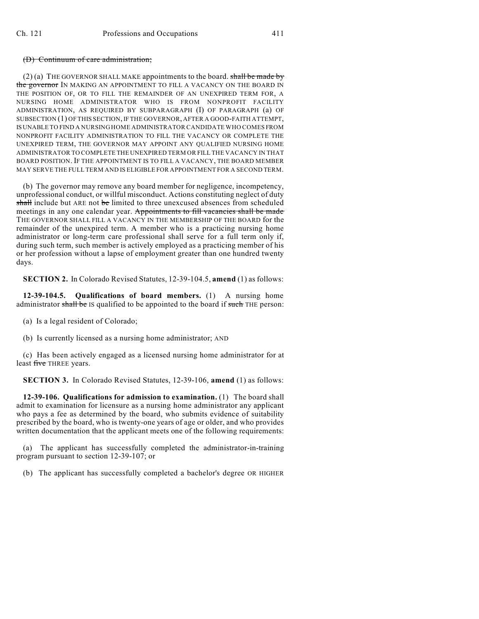## (D) Continuum of care administration;

(2) (a) THE GOVERNOR SHALL MAKE appointments to the board. shall be made by the governor IN MAKING AN APPOINTMENT TO FILL A VACANCY ON THE BOARD IN THE POSITION OF, OR TO FILL THE REMAINDER OF AN UNEXPIRED TERM FOR, A NURSING HOME ADMINISTRATOR WHO IS FROM NONPROFIT FACILITY ADMINISTRATION, AS REQUIRED BY SUBPARAGRAPH (I) OF PARAGRAPH (a) OF SUBSECTION (1) OF THIS SECTION, IF THE GOVERNOR, AFTER A GOOD-FAITH ATTEMPT, IS UNABLE TO FIND A NURSING HOME ADMINISTRATOR CANDIDATE WHO COMES FROM NONPROFIT FACILITY ADMINISTRATION TO FILL THE VACANCY OR COMPLETE THE UNEXPIRED TERM, THE GOVERNOR MAY APPOINT ANY QUALIFIED NURSING HOME ADMINISTRATOR TO COMPLETE THE UNEXPIRED TERM OR FILL THE VACANCY IN THAT BOARD POSITION. IF THE APPOINTMENT IS TO FILL A VACANCY, THE BOARD MEMBER MAY SERVE THE FULL TERM AND IS ELIGIBLE FOR APPOINTMENT FOR A SECOND TERM.

(b) The governor may remove any board member for negligence, incompetency, unprofessional conduct, or willful misconduct. Actions constituting neglect of duty shall include but ARE not be limited to three unexcused absences from scheduled meetings in any one calendar year. Appointments to fill vacancies shall be made THE GOVERNOR SHALL FILL A VACANCY IN THE MEMBERSHIP OF THE BOARD for the remainder of the unexpired term. A member who is a practicing nursing home administrator or long-term care professional shall serve for a full term only if, during such term, such member is actively employed as a practicing member of his or her profession without a lapse of employment greater than one hundred twenty days.

**SECTION 2.** In Colorado Revised Statutes, 12-39-104.5, **amend** (1) as follows:

**12-39-104.5. Qualifications of board members.** (1) A nursing home administrator shall be IS qualified to be appointed to the board if such THE person:

(a) Is a legal resident of Colorado;

(b) Is currently licensed as a nursing home administrator; AND

(c) Has been actively engaged as a licensed nursing home administrator for at least five THREE years.

**SECTION 3.** In Colorado Revised Statutes, 12-39-106, **amend** (1) as follows:

**12-39-106. Qualifications for admission to examination.** (1) The board shall admit to examination for licensure as a nursing home administrator any applicant who pays a fee as determined by the board, who submits evidence of suitability prescribed by the board, who is twenty-one years of age or older, and who provides written documentation that the applicant meets one of the following requirements:

(a) The applicant has successfully completed the administrator-in-training program pursuant to section 12-39-107; or

(b) The applicant has successfully completed a bachelor's degree OR HIGHER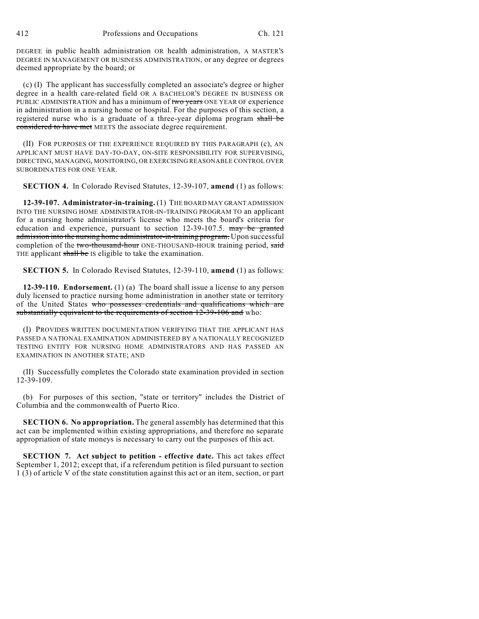412 Professions and Occupations Ch. 121

DEGREE in public health administration OR health administration, A MASTER'S DEGREE IN MANAGEMENT OR BUSINESS ADMINISTRATION, or any degree or degrees deemed appropriate by the board; or

(c) (I) The applicant has successfully completed an associate's degree or higher degree in a health care-related field OR A BACHELOR'S DEGREE IN BUSINESS OR PUBLIC ADMINISTRATION and has a minimum of two years ONE YEAR OF experience in administration in a nursing home or hospital. For the purposes of this section, a registered nurse who is a graduate of a three-year diploma program shall be considered to have met MEETS the associate degree requirement.

(II) FOR PURPOSES OF THE EXPERIENCE REQUIRED BY THIS PARAGRAPH (c), AN APPLICANT MUST HAVE DAY-TO-DAY, ON-SITE RESPONSIBILITY FOR SUPERVISING, DIRECTING, MANAGING, MONITORING, OR EXERCISING REASONABLE CONTROL OVER SUBORDINATES FOR ONE YEAR.

**SECTION 4.** In Colorado Revised Statutes, 12-39-107, **amend** (1) as follows:

**12-39-107. Administrator-in-training.** (1) THE BOARD MAY GRANT ADMISSION INTO THE NURSING HOME ADMINISTRATOR-IN-TRAINING PROGRAM TO an applicant for a nursing home administrator's license who meets the board's criteria for education and experience, pursuant to section 12-39-107.5. may be granted admission into the nursing home administrator-in-training program. Upon successful completion of the two-thousand-hour ONE-THOUSAND-HOUR training period, said THE applicant shall be IS eligible to take the examination.

**SECTION 5.** In Colorado Revised Statutes, 12-39-110, **amend** (1) as follows:

**12-39-110. Endorsement.** (1) (a) The board shall issue a license to any person duly licensed to practice nursing home administration in another state or territory of the United States who possesses credentials and qualifications which are substantially equivalent to the requirements of section 12-39-106 and who:

(I) PROVIDES WRITTEN DOCUMENTATION VERIFYING THAT THE APPLICANT HAS PASSED A NATIONAL EXAMINATION ADMINISTERED BY A NATIONALLY RECOGNIZED TESTING ENTITY FOR NURSING HOME ADMINISTRATORS AND HAS PASSED AN EXAMINATION IN ANOTHER STATE; AND

(II) Successfully completes the Colorado state examination provided in section 12-39-109.

(b) For purposes of this section, "state or territory" includes the District of Columbia and the commonwealth of Puerto Rico.

**SECTION 6. No appropriation.** The general assembly has determined that this act can be implemented within existing appropriations, and therefore no separate appropriation of state moneys is necessary to carry out the purposes of this act.

**SECTION 7. Act subject to petition - effective date.** This act takes effect September 1, 2012; except that, if a referendum petition is filed pursuant to section 1 (3) of article V of the state constitution against this act or an item, section, or part